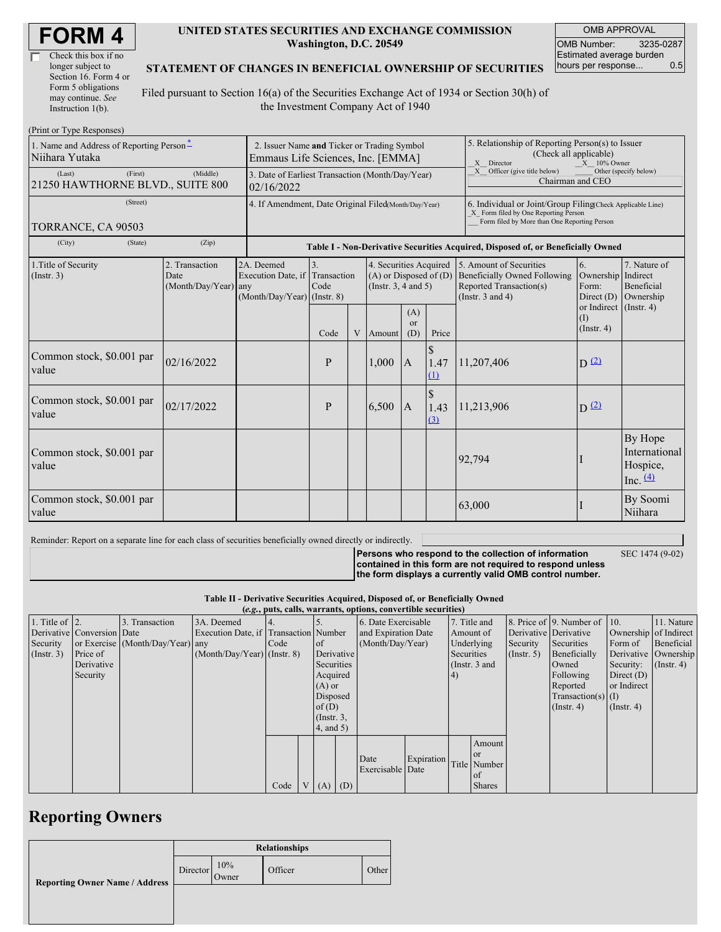| Check this box if no  |  |
|-----------------------|--|
| longer subject to     |  |
| Section 16. Form 4 or |  |
| Form 5 obligations    |  |
| may continue. See     |  |
| Instruction 1(b).     |  |

#### **UNITED STATES SECURITIES AND EXCHANGE COMMISSION Washington, D.C. 20549**

OMB APPROVAL OMB Number: 3235-0287 Estimated average burden hours per response... 0.5

#### **STATEMENT OF CHANGES IN BENEFICIAL OWNERSHIP OF SECURITIES**

Filed pursuant to Section 16(a) of the Securities Exchange Act of 1934 or Section 30(h) of the Investment Company Act of 1940

| (Print or Type Responses)                                  |                                                                                  |                                                                               |                          |   |                                                                                  |                                                                                                                                                    |                                                                                                              |                                                                                                                                                                                                   |                         |                                                    |
|------------------------------------------------------------|----------------------------------------------------------------------------------|-------------------------------------------------------------------------------|--------------------------|---|----------------------------------------------------------------------------------|----------------------------------------------------------------------------------------------------------------------------------------------------|--------------------------------------------------------------------------------------------------------------|---------------------------------------------------------------------------------------------------------------------------------------------------------------------------------------------------|-------------------------|----------------------------------------------------|
| 1. Name and Address of Reporting Person*<br>Niihara Yutaka | 2. Issuer Name and Ticker or Trading Symbol<br>Emmaus Life Sciences, Inc. [EMMA] |                                                                               |                          |   |                                                                                  |                                                                                                                                                    | 5. Relationship of Reporting Person(s) to Issuer<br>(Check all applicable)<br>X Director<br>$X = 10\%$ Owner |                                                                                                                                                                                                   |                         |                                                    |
| (First)<br>(Last)<br>21250 HAWTHORNE BLVD., SUITE 800      | 3. Date of Earliest Transaction (Month/Day/Year)<br>02/16/2022                   |                                                                               |                          |   |                                                                                  | X Officer (give title below)<br>Other (specify below)<br>Chairman and CEO                                                                          |                                                                                                              |                                                                                                                                                                                                   |                         |                                                    |
| (Street)<br>TORRANCE, CA 90503                             | 4. If Amendment, Date Original Filed(Month/Day/Year)                             |                                                                               |                          |   |                                                                                  | 6. Individual or Joint/Group Filing(Check Applicable Line)<br>X Form filed by One Reporting Person<br>Form filed by More than One Reporting Person |                                                                                                              |                                                                                                                                                                                                   |                         |                                                    |
| (City)<br>(State)                                          | (Zip)                                                                            |                                                                               |                          |   |                                                                                  |                                                                                                                                                    |                                                                                                              | Table I - Non-Derivative Securities Acquired, Disposed of, or Beneficially Owned                                                                                                                  |                         |                                                    |
| 1. Title of Security<br>(Insert. 3)                        | 2. Transaction<br>Date<br>(Month/Day/Year) any                                   | 2A. Deemed<br>Execution Date, if Transaction<br>$(Month/Day/Year)$ (Instr. 8) | $\overline{3}$ .<br>Code |   | 4. Securities Acquired<br>$(A)$ or Disposed of $(D)$<br>(Instr. $3, 4$ and $5$ ) |                                                                                                                                                    |                                                                                                              | 5. Amount of Securities<br>6.<br><b>Beneficially Owned Following</b><br>Ownership Indirect<br>Reported Transaction(s)<br>Form:<br>(Instr. $3$ and $4$ )<br>Direct $(D)$<br>or Indirect (Instr. 4) |                         | 7. Nature of<br>Beneficial<br>Ownership            |
|                                                            |                                                                                  |                                                                               | Code                     | V | Amount                                                                           | (A)<br>$\alpha$<br>(D)                                                                                                                             | Price                                                                                                        |                                                                                                                                                                                                   | (I)<br>$($ Instr. 4 $)$ |                                                    |
| Common stock, \$0.001 par<br>value                         | 02/16/2022                                                                       |                                                                               | P                        |   | 1,000                                                                            | $\overline{A}$                                                                                                                                     | $\mathcal{S}$<br>1.47<br>$\Omega$                                                                            | 11,207,406                                                                                                                                                                                        | $D^{(2)}$               |                                                    |
| Common stock, \$0.001 par<br>value                         | 02/17/2022                                                                       |                                                                               | P                        |   | 6,500                                                                            | $\mathbf{A}$                                                                                                                                       | $\mathbb{S}$<br>1.43<br>$\Omega$                                                                             | 11,213,906                                                                                                                                                                                        | $D^{(2)}$               |                                                    |
| Common stock, \$0.001 par<br>value                         |                                                                                  |                                                                               |                          |   |                                                                                  |                                                                                                                                                    |                                                                                                              | 92,794                                                                                                                                                                                            |                         | By Hope<br>International<br>Hospice,<br>Inc. $(4)$ |
| Common stock, \$0.001 par<br>value                         |                                                                                  |                                                                               |                          |   |                                                                                  |                                                                                                                                                    |                                                                                                              | 63,000                                                                                                                                                                                            |                         | By Soomi<br>Niihara                                |

Reminder: Report on a separate line for each class of securities beneficially owned directly or indirectly.

**Persons who respond to the collection of information**

SEC 1474 (9-02)

**contained in this form are not required to respond unless the form displays a currently valid OMB control number.**

**Table II - Derivative Securities Acquired, Disposed of, or Beneficially Owned**

|                        | (e.g., puts, calls, warrants, options, convertible securities) |                                  |                                       |      |  |                 |            |                     |                 |            |               |              |                              |                       |            |
|------------------------|----------------------------------------------------------------|----------------------------------|---------------------------------------|------|--|-----------------|------------|---------------------|-----------------|------------|---------------|--------------|------------------------------|-----------------------|------------|
| 1. Title of $\vert$ 2. |                                                                | 3. Transaction                   | 3A. Deemed                            |      |  |                 |            | 6. Date Exercisable |                 |            | 7. Title and  |              | 8. Price of 9. Number of 10. |                       | 11. Nature |
|                        | Derivative Conversion Date                                     |                                  | Execution Date, if Transaction Number |      |  |                 |            | and Expiration Date |                 |            | Amount of     |              | Derivative Derivative        | Ownership of Indirect |            |
| Security               |                                                                | or Exercise (Month/Day/Year) any |                                       | Code |  | <sub>of</sub>   |            | (Month/Day/Year)    |                 |            | Underlying    | Security     | Securities                   | Form of               | Beneficial |
| $($ Instr. 3 $)$       | Price of                                                       |                                  | $(Month/Day/Year)$ (Instr. 8)         |      |  |                 | Derivative |                     | Securities      |            | (Insert. 5)   | Beneficially |                              | Derivative Ownership  |            |
|                        | Derivative                                                     |                                  |                                       |      |  |                 | Securities |                     | (Instr. $3$ and |            |               | Owned        | Security:                    | $($ Instr. 4 $)$      |            |
|                        | Security                                                       |                                  |                                       |      |  | Acquired        |            |                     |                 | $\vert 4)$ |               |              | Following                    | Direct $(D)$          |            |
|                        |                                                                |                                  |                                       |      |  | $(A)$ or        |            |                     |                 |            |               |              | Reported                     | or Indirect           |            |
|                        |                                                                |                                  |                                       |      |  | Disposed        |            |                     |                 |            |               |              | $Transaction(s)$ (I)         |                       |            |
|                        |                                                                |                                  |                                       |      |  | of $(D)$        |            |                     |                 |            |               |              | $($ Instr. 4 $)$             | $($ Instr. 4 $)$      |            |
|                        |                                                                |                                  |                                       |      |  | $($ Instr. $3,$ |            |                     |                 |            |               |              |                              |                       |            |
|                        |                                                                |                                  |                                       |      |  | $4$ , and $5$ ) |            |                     |                 |            |               |              |                              |                       |            |
|                        |                                                                |                                  |                                       |      |  |                 |            |                     |                 |            | Amount        |              |                              |                       |            |
|                        |                                                                |                                  |                                       |      |  |                 |            |                     |                 |            | or            |              |                              |                       |            |
|                        |                                                                |                                  |                                       |      |  |                 |            | Date                | Expiration      |            | Title Number  |              |                              |                       |            |
|                        |                                                                |                                  |                                       |      |  |                 |            | Exercisable Date    |                 |            | of            |              |                              |                       |            |
|                        |                                                                |                                  |                                       | Code |  | $V(A)$ (D)      |            |                     |                 |            | <b>Shares</b> |              |                              |                       |            |

## **Reporting Owners**

|                                       | <b>Relationships</b> |              |         |       |  |  |  |  |
|---------------------------------------|----------------------|--------------|---------|-------|--|--|--|--|
| <b>Reporting Owner Name / Address</b> | Director             | 10%<br>Owner | Officer | Other |  |  |  |  |
|                                       |                      |              |         |       |  |  |  |  |